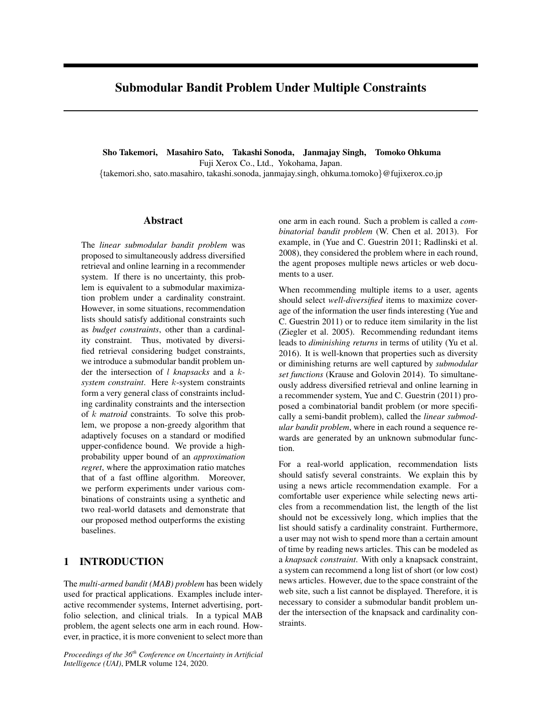# Submodular Bandit Problem Under Multiple Constraints

Sho Takemori, Masahiro Sato, Takashi Sonoda, Janmajay Singh, Tomoko Ohkuma Fuji Xerox Co., Ltd., Yokohama, Japan. {takemori.sho, sato.masahiro, takashi.sonoda, janmajay.singh, ohkuma.tomoko}@fujixerox.co.jp

### Abstract

The *linear submodular bandit problem* was proposed to simultaneously address diversified retrieval and online learning in a recommender system. If there is no uncertainty, this problem is equivalent to a submodular maximization problem under a cardinality constraint. However, in some situations, recommendation lists should satisfy additional constraints such as *budget constraints*, other than a cardinality constraint. Thus, motivated by diversified retrieval considering budget constraints, we introduce a submodular bandit problem under the intersection of l *knapsacks* and a k*system constraint*. Here k-system constraints form a very general class of constraints including cardinality constraints and the intersection of k *matroid* constraints. To solve this problem, we propose a non-greedy algorithm that adaptively focuses on a standard or modified upper-confidence bound. We provide a highprobability upper bound of an *approximation regret*, where the approximation ratio matches that of a fast offline algorithm. Moreover, we perform experiments under various combinations of constraints using a synthetic and two real-world datasets and demonstrate that our proposed method outperforms the existing baselines.

# 1 INTRODUCTION

The *multi-armed bandit (MAB) problem* has been widely used for practical applications. Examples include interactive recommender systems, Internet advertising, portfolio selection, and clinical trials. In a typical MAB problem, the agent selects one arm in each round. However, in practice, it is more convenient to select more than

*Proceedings of the 36th Conference on Uncertainty in Artificial Intelligence (UAI)*, PMLR volume 124, 2020.

one arm in each round. Such a problem is called a *combinatorial bandit problem* (W. Chen et al. 2013). For example, in (Yue and C. Guestrin 2011; Radlinski et al. 2008), they considered the problem where in each round, the agent proposes multiple news articles or web documents to a user.

When recommending multiple items to a user, agents should select *well-diversified* items to maximize coverage of the information the user finds interesting (Yue and C. Guestrin 2011) or to reduce item similarity in the list (Ziegler et al. 2005). Recommending redundant items leads to *diminishing returns* in terms of utility (Yu et al. 2016). It is well-known that properties such as diversity or diminishing returns are well captured by *submodular set functions* (Krause and Golovin 2014). To simultaneously address diversified retrieval and online learning in a recommender system, Yue and C. Guestrin (2011) proposed a combinatorial bandit problem (or more specifically a semi-bandit problem), called the *linear submodular bandit problem*, where in each round a sequence rewards are generated by an unknown submodular function.

For a real-world application, recommendation lists should satisfy several constraints. We explain this by using a news article recommendation example. For a comfortable user experience while selecting news articles from a recommendation list, the length of the list should not be excessively long, which implies that the list should satisfy a cardinality constraint. Furthermore, a user may not wish to spend more than a certain amount of time by reading news articles. This can be modeled as a *knapsack constraint*. With only a knapsack constraint, a system can recommend a long list of short (or low cost) news articles. However, due to the space constraint of the web site, such a list cannot be displayed. Therefore, it is necessary to consider a submodular bandit problem under the intersection of the knapsack and cardinality constraints.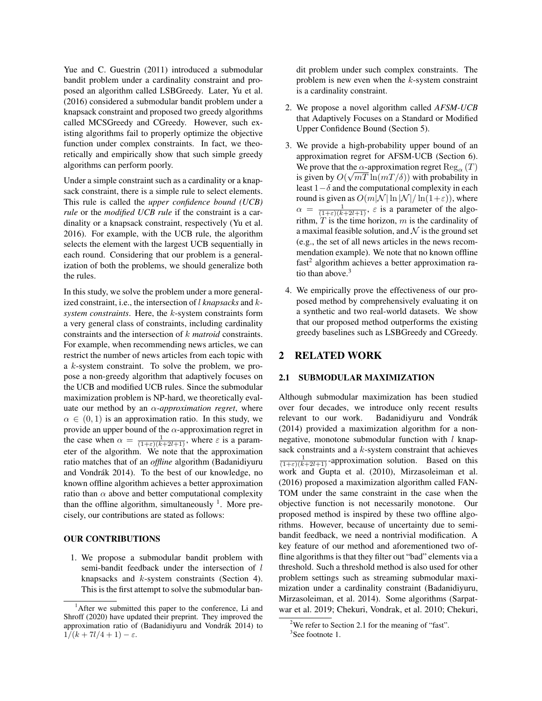Yue and C. Guestrin (2011) introduced a submodular bandit problem under a cardinality constraint and proposed an algorithm called LSBGreedy. Later, Yu et al. (2016) considered a submodular bandit problem under a knapsack constraint and proposed two greedy algorithms called MCSGreedy and CGreedy. However, such existing algorithms fail to properly optimize the objective function under complex constraints. In fact, we theoretically and empirically show that such simple greedy algorithms can perform poorly.

Under a simple constraint such as a cardinality or a knapsack constraint, there is a simple rule to select elements. This rule is called the *upper confidence bound (UCB) rule* or the *modified UCB rule* if the constraint is a cardinality or a knapsack constraint, respectively (Yu et al. 2016). For example, with the UCB rule, the algorithm selects the element with the largest UCB sequentially in each round. Considering that our problem is a generalization of both the problems, we should generalize both the rules.

In this study, we solve the problem under a more generalized constraint, i.e., the intersection of l *knapsacks* and k*system constraints*. Here, the k-system constraints form a very general class of constraints, including cardinality constraints and the intersection of k *matroid* constraints. For example, when recommending news articles, we can restrict the number of news articles from each topic with a k-system constraint. To solve the problem, we propose a non-greedy algorithm that adaptively focuses on the UCB and modified UCB rules. Since the submodular maximization problem is NP-hard, we theoretically evaluate our method by an α*-approximation regret*, where  $\alpha \in (0, 1)$  is an approximation ratio. In this study, we provide an upper bound of the  $\alpha$ -approximation regret in the case when  $\alpha = \frac{1}{(1+\varepsilon)(k+2l+1)}$ , where  $\varepsilon$  is a parameter of the algorithm. We note that the approximation ratio matches that of an *offline* algorithm (Badanidiyuru and Vondrák 2014). To the best of our knowledge, no known offline algorithm achieves a better approximation ratio than  $\alpha$  above and better computational complexity than the offline algorithm, simultaneously  $<sup>1</sup>$ . More pre-</sup> cisely, our contributions are stated as follows:

#### OUR CONTRIBUTIONS

1. We propose a submodular bandit problem with semi-bandit feedback under the intersection of l knapsacks and k-system constraints (Section 4). This is the first attempt to solve the submodular bandit problem under such complex constraints. The problem is new even when the  $k$ -system constraint is a cardinality constraint.

- 2. We propose a novel algorithm called *AFSM-UCB* that Adaptively Focuses on a Standard or Modified Upper Confidence Bound (Section 5).
- 3. We provide a high-probability upper bound of an approximation regret for AFSM-UCB (Section 6). We prove that the  $\alpha$ -approximation regret  $\text{Reg}_{\alpha}(T)$ is given by  $O(\sqrt{mT \ln(mT/\delta)})$  with probability in least  $1-\delta$  and the computational complexity in each round is given as  $O(m|\mathcal{N}| \ln |\mathcal{N}| / \ln(1+\varepsilon))$ , where  $\alpha = \frac{1}{(1+\epsilon)(k+2l+1)}$ ,  $\varepsilon$  is a parameter of the algorithm,  $T$  is the time horizon,  $m$  is the cardinality of a maximal feasible solution, and  $\mathcal N$  is the ground set (e.g., the set of all news articles in the news recommendation example). We note that no known offline fast<sup>2</sup> algorithm achieves a better approximation ratio than above. $3$
- 4. We empirically prove the effectiveness of our proposed method by comprehensively evaluating it on a synthetic and two real-world datasets. We show that our proposed method outperforms the existing greedy baselines such as LSBGreedy and CGreedy.

## 2 RELATED WORK

#### 2.1 SUBMODULAR MAXIMIZATION

Although submodular maximization has been studied over four decades, we introduce only recent results relevant to our work. Badanidiyuru and Vondrák (2014) provided a maximization algorithm for a nonnegative, monotone submodular function with  $l$  knapsack constraints and a k-system constraint that achieves  $\frac{1}{(1+\epsilon)(k+2l+1)}$ -approximation solution. Based on this work and Gupta et al. (2010), Mirzasoleiman et al. (2016) proposed a maximization algorithm called FAN-TOM under the same constraint in the case when the objective function is not necessarily monotone. Our proposed method is inspired by these two offline algorithms. However, because of uncertainty due to semibandit feedback, we need a nontrivial modification. A key feature of our method and aforementioned two offline algorithms is that they filter out "bad" elements via a threshold. Such a threshold method is also used for other problem settings such as streaming submodular maximization under a cardinality constraint (Badanidiyuru, Mirzasoleiman, et al. 2014). Some algorithms (Sarpatwar et al. 2019; Chekuri, Vondrak, et al. 2010; Chekuri,

<sup>&</sup>lt;sup>1</sup>After we submitted this paper to the conference, Li and Shroff (2020) have updated their preprint. They improved the approximation ratio of (Badanidiyuru and Vondrák 2014) to  $1/(k+7l/4+1)-\varepsilon$ .

<sup>&</sup>lt;sup>2</sup>We refer to Section 2.1 for the meaning of "fast".

<sup>&</sup>lt;sup>3</sup>See footnote 1.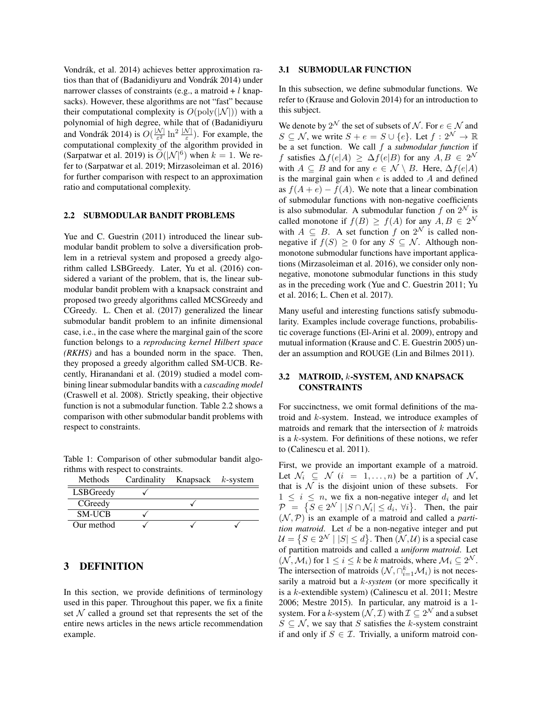Vondrák, et al. 2014) achieves better approximation ratios than that of (Badanidiyuru and Vondrák 2014) under narrower classes of constraints (e.g., a matroid  $+ l$  knapsacks). However, these algorithms are not "fast" because their computational complexity is  $O(poly(|\mathcal{N}|))$  with a polynomial of high degree, while that of (Badanidiyuru and Vondrák 2014) is  $O(\frac{|\mathcal{N}|}{\epsilon^2})$  $\frac{\mathcal{N}|}{\varepsilon^2} \ln^2 \frac{|\mathcal{N}|}{\varepsilon}$ ). For example, the computational complexity of the algorithm provided in (Sarpatwar et al. 2019) is  $\tilde{O}(|\mathcal{N}|^6)$  when  $k = 1$ . We refer to (Sarpatwar et al. 2019; Mirzasoleiman et al. 2016) for further comparison with respect to an approximation ratio and computational complexity.

#### 2.2 SUBMODULAR BANDIT PROBLEMS

Yue and C. Guestrin (2011) introduced the linear submodular bandit problem to solve a diversification problem in a retrieval system and proposed a greedy algorithm called LSBGreedy. Later, Yu et al. (2016) considered a variant of the problem, that is, the linear submodular bandit problem with a knapsack constraint and proposed two greedy algorithms called MCSGreedy and CGreedy. L. Chen et al. (2017) generalized the linear submodular bandit problem to an infinite dimensional case, i.e., in the case where the marginal gain of the score function belongs to a *reproducing kernel Hilbert space (RKHS)* and has a bounded norm in the space. Then, they proposed a greedy algorithm called SM-UCB. Recently, Hiranandani et al. (2019) studied a model combining linear submodular bandits with a *cascading model* (Craswell et al. 2008). Strictly speaking, their objective function is not a submodular function. Table 2.2 shows a comparison with other submodular bandit problems with respect to constraints.

Table 1: Comparison of other submodular bandit algorithms with respect to constraints. Methods Cardinality Knapsack k-system

| <b>NEUROUS</b> | Carumanty | <b>Kitapsack</b> | $\kappa$ -system |
|----------------|-----------|------------------|------------------|
| LSBGreedy      |           |                  |                  |
| CGreedy        |           |                  |                  |
| <b>SM-UCB</b>  |           |                  |                  |
| Our method     |           |                  |                  |

# 3 DEFINITION

In this section, we provide definitions of terminology used in this paper. Throughout this paper, we fix a finite set  $N$  called a ground set that represents the set of the entire news articles in the news article recommendation example.

#### 3.1 SUBMODULAR FUNCTION

In this subsection, we define submodular functions. We refer to (Krause and Golovin 2014) for an introduction to this subject.

We denote by  $2^{\mathcal{N}}$  the set of subsets of  $\mathcal{N}.$  For  $e \in \mathcal{N}$  and  $S \subseteq \mathcal{N}$ , we write  $S + e = S \cup \{e\}$ . Let  $f : 2^{\mathcal{N}} \to \mathbb{R}$ be a set function. We call f a *submodular function* if f satisfies  $\Delta f(e|A) \geq \Delta f(e|B)$  for any  $A, B \in 2^{\mathcal{N}}$ with  $A \subseteq B$  and for any  $e \in \mathcal{N} \setminus B$ . Here,  $\Delta f(e|A)$ is the marginal gain when  $e$  is added to  $A$  and defined as  $f(A + e) - f(A)$ . We note that a linear combination of submodular functions with non-negative coefficients is also submodular. A submodular function f on  $2^{\mathcal{N}}$  is called monotone if  $f(B) \ge f(A)$  for any  $A, B \in 2^{\mathcal{N}}$ with  $A \subseteq B$ . A set function f on  $2^{\mathcal{N}}$  is called nonnegative if  $f(S) \geq 0$  for any  $S \subseteq \mathcal{N}$ . Although nonmonotone submodular functions have important applications (Mirzasoleiman et al. 2016), we consider only nonnegative, monotone submodular functions in this study as in the preceding work (Yue and C. Guestrin 2011; Yu et al. 2016; L. Chen et al. 2017).

Many useful and interesting functions satisfy submodularity. Examples include coverage functions, probabilistic coverage functions (El-Arini et al. 2009), entropy and mutual information (Krause and C. E. Guestrin 2005) under an assumption and ROUGE (Lin and Bilmes 2011).

### 3.2 MATROID, k-SYSTEM, AND KNAPSACK CONSTRAINTS

For succinctness, we omit formal definitions of the matroid and  $k$ -system. Instead, we introduce examples of matroids and remark that the intersection of  $k$  matroids is a  $k$ -system. For definitions of these notions, we refer to (Calinescu et al. 2011).

First, we provide an important example of a matroid. Let  $\mathcal{N}_i \subseteq \mathcal{N}$   $(i = 1, \ldots, n)$  be a partition of  $\mathcal{N}_i$ , that is  $N$  is the disjoint union of these subsets. For  $1 \leq i \leq n$ , we fix a non-negative integer  $d_i$  and let  $\mathcal{P} = \{ S \in 2^{\mathcal{N}} \mid |S \cap \mathcal{N}_i| \leq d_i, \forall i \}.$  Then, the pair  $(N, P)$  is an example of a matroid and called a *partition matroid*. Let d be a non-negative integer and put  $\mathcal{U} = \{ S \in 2^{\mathcal{N}} \mid |S| \leq d \}$ . Then  $(\mathcal{N}, \mathcal{U})$  is a special case of partition matroids and called a *uniform matroid*. Let  $(\mathcal{N}, \mathcal{M}_i)$  for  $1 \leq i \leq k$  be k matroids, where  $\mathcal{M}_i \subseteq 2^{\mathcal{N}}$ . The intersection of matroids  $(\mathcal{N}, \cap_{i=1}^k \mathcal{M}_i)$  is not necessarily a matroid but a k*-system* (or more specifically it is a k-extendible system) (Calinescu et al. 2011; Mestre 2006; Mestre 2015). In particular, any matroid is a 1 system. For a k-system  $(\mathcal{N}, \mathcal{I})$  with  $\mathcal{I} \subseteq 2^{\mathcal{N}}$  and a subset  $S \subseteq \mathcal{N}$ , we say that S satisfies the k-system constraint if and only if  $S \in \mathcal{I}$ . Trivially, a uniform matroid con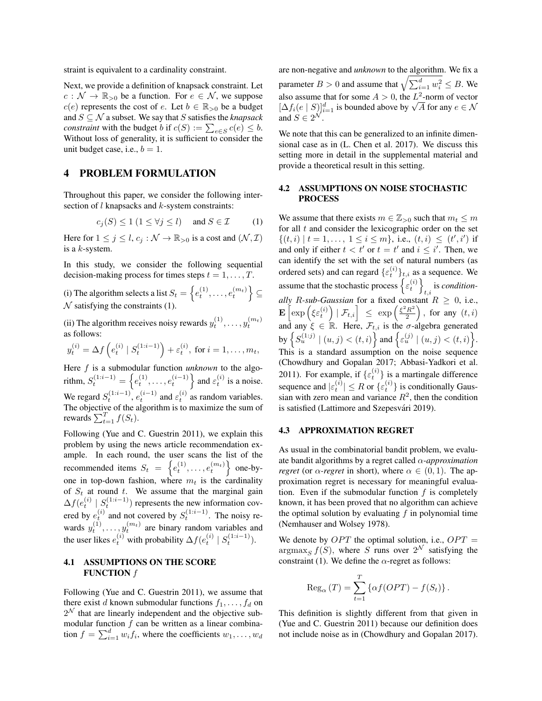straint is equivalent to a cardinality constraint.

Next, we provide a definition of knapsack constraint. Let  $c : \mathcal{N} \to \mathbb{R}_{>0}$  be a function. For  $e \in \mathcal{N}$ , we suppose  $c(e)$  represents the cost of e. Let  $b \in \mathbb{R}_{>0}$  be a budget and  $S \subseteq \mathcal{N}$  a subset. We say that S satisfies the *knapsack constraint* with the budget *b* if  $c(S) := \sum_{e \in S} c(e) \leq b$ . Without loss of generality, it is sufficient to consider the unit budget case, i.e.,  $b = 1$ .

## 4 PROBLEM FORMULATION

Throughout this paper, we consider the following intersection of  $l$  knapsacks and  $k$ -system constraints:

$$
c_j(S) \le 1 \ (1 \le \forall j \le l) \quad \text{and } S \in \mathcal{I} \tag{1}
$$

Here for  $1 \leq j \leq l$ ,  $c_j : \mathcal{N} \to \mathbb{R}_{>0}$  is a cost and  $(\mathcal{N}, \mathcal{I})$ is a  $k$ -system.

In this study, we consider the following sequential decision-making process for times steps  $t = 1, \ldots, T$ .

(i) The algorithm selects a list  $S_t = \left\{e_t^{(1)}, \ldots, e_t^{(m_t)}\right\} \subseteq$  $N$  satisfying the constraints (1).

(ii) The algorithm receives noisy rewards  $y_t^{(1)}, \ldots, y_t^{(m_t)}$ as follows:

$$
y_t^{(i)} = \Delta f\left(e_t^{(i)} | S_t^{(1:i-1)}\right) + \varepsilon_t^{(i)}, \text{ for } i = 1, ..., m_t,
$$

Here f is a submodular function *unknown* to the algorithm,  $S_t^{(1:i-1)} = \left\{ e_t^{(1)}, \ldots, e_t^{(i-1)} \right\}$  and  $\varepsilon_t^{(i)}$  is a noise. We regard  $S_t^{(1:i-1)}$ ,  $e_t^{(i-1)}$  and  $\varepsilon_t^{(i)}$  as random variables. The objective of the algorithm is to maximize the sum of rewards  $\sum_{t=1}^{T} f(S_t)$ .

Following (Yue and C. Guestrin 2011), we explain this problem by using the news article recommendation example. In each round, the user scans the list of the recommended items  $S_t = \left\{e_t^{(1)}, \ldots, e_t^{(m_t)}\right\}$  one-byone in top-down fashion, where  $m_t$  is the cardinality of  $S_t$  at round t. We assume that the marginal gain  $\Delta f(e_t^{(i)} \mid S_t^{(1:i-1)})$  represents the new information covered by  $e_t^{(i)}$  and not covered by  $S_t^{(1:i-1)}$ . The noisy rewards  $y_t^{(1)}, \ldots, y_t^{(m_t)}$  are binary random variables and the user likes  $e_t^{(i)}$  with probability  $\Delta f(e_t^{(i)} | S_t^{(1:i-1)})$ .

### 4.1 ASSUMPTIONS ON THE SCORE **FUNCTION**  $f$

Following (Yue and C. Guestrin 2011), we assume that there exist d known submodular functions  $f_1, \ldots, f_d$  on  $2^{\mathcal{N}}$  that are linearly independent and the objective submodular function  $f$  can be written as a linear combination  $f = \sum_{i=1}^{d} w_i f_i$ , where the coefficients  $w_1, \ldots, w_d$ 

are non-negative and *unknown* to the algorithm. We fix a parameter  $B > 0$  and assume that  $\sqrt{\sum_{i=1}^d w_i^2} \leq B$ . We also assume that for some  $A > 0$ , the  $L^2$ -norm of vector also assume that for some  $A > 0$ , the L<sup>2</sup>-norm of vector<br>  $[\Delta f_i(e \mid S)]_{i=1}^d$  is bounded above by  $\sqrt{A}$  for any  $e \in \mathcal{N}$ and  $S \in 2^{\mathcal{N}}$ .

We note that this can be generalized to an infinite dimensional case as in (L. Chen et al. 2017). We discuss this setting more in detail in the supplemental material and provide a theoretical result in this setting.

### 4.2 ASSUMPTIONS ON NOISE STOCHASTIC PROCESS

We assume that there exists  $m \in \mathbb{Z}_{>0}$  such that  $m_t \leq m$ for all  $t$  and consider the lexicographic order on the set  $\{(t,i) | t = 1, \ldots, 1 \le i \le m\}, \text{ i.e., } (t,i) \le (t',i') \text{ if }$ and only if either  $t < t'$  or  $t = t'$  and  $i \leq i'$ . Then, we can identify the set with the set of natural numbers (as ordered sets) and can regard  $\{\varepsilon_t^{(i)}\}_{t,i}$  as a sequence. We assume that the stochastic process  $\left\{ \varepsilon_t^{(i)} \right\}$ is *conditionally R-sub-Gaussian* for a fixed constant  $R \geq 0$ , i.e.,  $\mathbf{E}\left[\exp\left(\xi\varepsilon_t^{(i)}\right)\mid \mathcal{F}_{t,i}\right] \;\; \leq \;\exp\left(\frac{\xi^2 R^2}{2}\right)$  $\left(\frac{R^2}{2}\right)$ , for any  $(t, i)$ and any  $\xi \in \mathbb{R}$ . Here,  $\mathcal{F}_{t,i}$  is the  $\sigma$ -algebra generated by  $\left\{S_u^{(1:j)} \mid (u, j) < (t, i)\right\}$  and  $\left\{\varepsilon_u^{(j)} \mid (u, j) < (t, i)\right\}$ . This is a standard assumption on the noise sequence (Chowdhury and Gopalan 2017; Abbasi-Yadkori et al. 2011). For example, if  $\{\varepsilon_t^{(i)}\}$  is a martingale difference sequence and  $|\varepsilon_t^{(i)}| \leq R$  or  $\{\varepsilon_t^{(i)}\}$  is conditionally Gaussian with zero mean and variance  $R^2$ , then the condition is satisfied (Lattimore and Szepesvári 2019).

#### 4.3 APPROXIMATION REGRET

As usual in the combinatorial bandit problem, we evaluate bandit algorithms by a regret called α*-approximation regret* (or  $\alpha$ -*regret* in short), where  $\alpha \in (0,1)$ . The approximation regret is necessary for meaningful evaluation. Even if the submodular function  $f$  is completely known, it has been proved that no algorithm can achieve the optimal solution by evaluating  $f$  in polynomial time (Nemhauser and Wolsey 1978).

We denote by  $OPT$  the optimal solution, i.e.,  $OPT =$  $\argmax_S f(S)$ , where S runs over  $2^N$  satisfying the constraint (1). We define the  $\alpha$ -regret as follows:

$$
\operatorname{Reg}_{\alpha}(T) = \sum_{t=1}^{T} \{ \alpha f(OPT) - f(S_t) \}.
$$

This definition is slightly different from that given in (Yue and C. Guestrin 2011) because our definition does not include noise as in (Chowdhury and Gopalan 2017).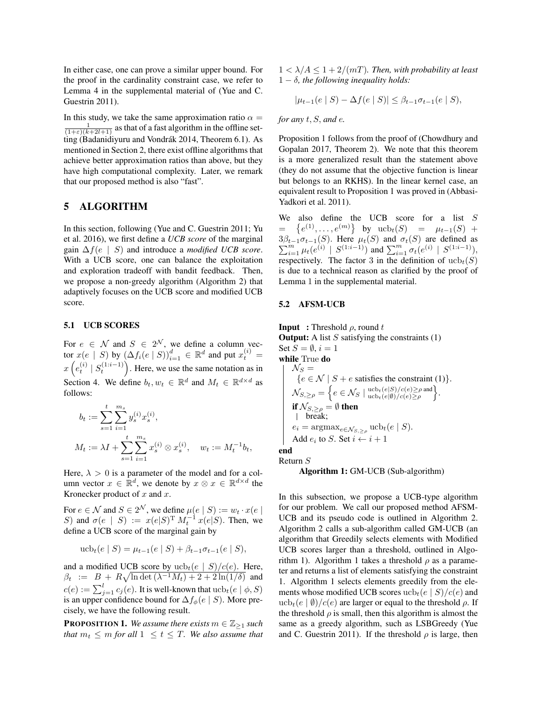In either case, one can prove a similar upper bound. For the proof in the cardinality constraint case, we refer to Lemma 4 in the supplemental material of (Yue and C. Guestrin 2011).

In this study, we take the same approximation ratio  $\alpha =$  $\frac{1}{(1+\epsilon)(k+2l+1)}$  as that of a fast algorithm in the offline setting (Badanidiyuru and Vondrák 2014, Theorem 6.1). As mentioned in Section 2, there exist offline algorithms that achieve better approximation ratios than above, but they have high computational complexity. Later, we remark that our proposed method is also "fast".

# 5 ALGORITHM

In this section, following (Yue and C. Guestrin 2011; Yu et al. 2016), we first define a *UCB score* of the marginal gain ∆f(e | S) and introduce a *modified UCB score*. With a UCB score, one can balance the exploitation and exploration tradeoff with bandit feedback. Then, we propose a non-greedy algorithm (Algorithm 2) that adaptively focuses on the UCB score and modified UCB score.

### 5.1 UCB SCORES

For  $e \in \mathcal{N}$  and  $S \in 2^{\mathcal{N}}$ , we define a column vector  $x(e \mid S)$  by  $(\Delta f_i(e \mid S))_{i=1}^d \in \mathbb{R}^d$  and put  $x_t^{(i)} =$  $x\left(e_t^{(i)} \mid S_t^{(1:i-1)}\right)$ . Here, we use the same notation as in Section 4. We define  $b_t, w_t \in \mathbb{R}^d$  and  $M_t \in \mathbb{R}^{d \times d}$  as follows:

$$
b_t := \sum_{s=1}^t \sum_{i=1}^{m_s} y_s^{(i)} x_s^{(i)},
$$
  

$$
M_t := \lambda I + \sum_{s=1}^t \sum_{i=1}^{m_s} x_s^{(i)} \otimes x_s^{(i)}, \quad w_t := M_t^{-1} b_t,
$$

Here,  $\lambda > 0$  is a parameter of the model and for a column vector  $x \in \mathbb{R}^d$ , we denote by  $x \otimes x \in \mathbb{R}^{d \times d}$  the Kronecker product of  $x$  and  $x$ .

For  $e \in \mathcal{N}$  and  $S \in 2^{\mathcal{N}}$ , we define  $\mu(e \mid S) := w_t \cdot x(e \mid S)$ S) and  $\sigma(e \mid S) := x(e|S)^{\mathrm{T}} M_t^{-1} x(e|S)$ . Then, we define a UCB score of the marginal gain by

$$
\operatorname{ucb}_t(e \mid S) = \mu_{t-1}(e \mid S) + \beta_{t-1}\sigma_{t-1}(e \mid S),
$$

and a modified UCB score by  $ucb_t(e | S)/c(e)$ . Here,  $\beta_t$  :=  $B + R\sqrt{\ln \det(\lambda^{-1}M_t) + 2 + 2\ln(1/\delta)}$  and  $c(e) := \sum_{j=1}^l c_j(e).$  It is well-known that  $\mathrm{ucb}_t(e \mid \phi, S)$ is an upper confidence bound for  $\Delta f_{\phi}(e \mid S)$ . More precisely, we have the following result.

**PROPOSITION 1.** *We assume there exists*  $m \in \mathbb{Z}_{\geq 1}$  *such that*  $m_t \leq m$  *for all*  $1 \leq t \leq T$ *. We also assume that*   $1 < \lambda/A < 1 + 2/(mT)$ . Then, with probability at least 1 − δ*, the following inequality holds:*

$$
|\mu_{t-1}(e \mid S) - \Delta f(e \mid S)| \le \beta_{t-1} \sigma_{t-1}(e \mid S),
$$

*for any* t, S, *and* e*.*

Proposition 1 follows from the proof of (Chowdhury and Gopalan 2017, Theorem 2). We note that this theorem is a more generalized result than the statement above (they do not assume that the objective function is linear but belongs to an RKHS). In the linear kernel case, an equivalent result to Proposition 1 was proved in (Abbasi-Yadkori et al. 2011).

We also define the UCB score for a list S  $= \{e^{(1)}, \ldots, e^{(m)}\}$  by  $ucb_t(S) = \mu_{t-1}(S) +$ P  $3\beta_{t-1}\sigma_{t-1}(S)$ . Here  $\mu_t(S)$  and  $\sigma_t(S)$  are defined as  $\sum_{i=1}^m \mu_t(e^{(i)} \mid S^{(1:i-1)})$  and  $\sum_{i=1}^m \sigma_t(e^{(i)} \mid S^{(1:i-1)})$ , respectively. The factor 3 in the definition of  $ucb_t(S)$ is due to a technical reason as clarified by the proof of Lemma 1 in the supplemental material.

#### 5.2 AFSM-UCB

**Input** : Threshold  $\rho$ , round t **Output:** A list  $S$  satisfying the constraints  $(1)$ Set  $S = \emptyset$ ,  $i = 1$ while True do  $\mathcal{N}_S =$  ${e \in \mathcal{N} \mid S + e \text{ satisfies the constraint (1)}}.$  $\mathcal{N}_{S,\geq\rho} = \bigg\{ e \in \mathcal{N}_S \mid \frac{\text{ucb}_t(e|S)/c(e) \geq \rho \text{ and }}{\text{ucb}_t(e|\emptyset)/c(e) \geq \rho}}\bigg\}.$ if  $\mathcal{N}_{S,\geq\rho}=\emptyset$  then break;  $e_i = \text{argmax}_{e \in \mathcal{N}_{S, > \rho}} \text{ucb}_t(e \mid S).$ Add  $e_i$  to S. Set  $i \leftarrow i + 1$ end

Return S

Algorithm 1: GM-UCB (Sub-algorithm)

In this subsection, we propose a UCB-type algorithm for our problem. We call our proposed method AFSM-UCB and its pseudo code is outlined in Algorithm 2. Algorithm 2 calls a sub-algorithm called GM-UCB (an algorithm that Greedily selects elements with Modified UCB scores larger than a threshold, outlined in Algorithm 1). Algorithm 1 takes a threshold  $\rho$  as a parameter and returns a list of elements satisfying the constraint 1. Algorithm 1 selects elements greedily from the elements whose modified UCB scores  $ucb_t(e | S)/c(e)$  and ucb<sub>t</sub> $(e | \emptyset) / c(e)$  are larger or equal to the threshold  $\rho$ . If the threshold  $\rho$  is small, then this algorithm is almost the same as a greedy algorithm, such as LSBGreedy (Yue and C. Guestrin 2011). If the threshold  $\rho$  is large, then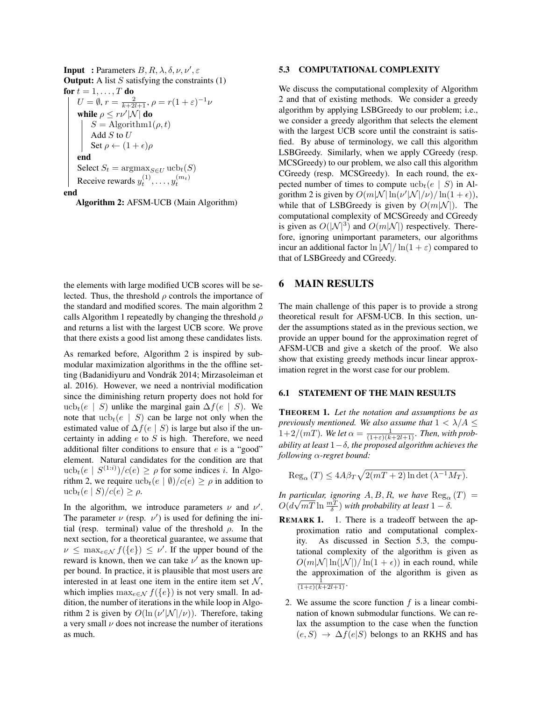**Input** : Parameters  $B, R, \lambda, \delta, \nu, \nu', \varepsilon$ **Output:** A list S satisfying the constraints  $(1)$ for  $t = 1, \ldots, T$  do  $U = \emptyset$ ,  $r = \frac{2}{k+2l+1}$ ,  $\rho = r(1+\varepsilon)^{-1}\nu$ while  $\rho \leq r\nu' |\mathcal{N}|$  do  $S = \text{Algorithm1}(\rho, t)$ Add $S$  to  $U$ Set  $\rho \leftarrow (1 + \epsilon)\rho$ end Select  $S_t = \operatorname{argmax}_{S \in U} \operatorname{ucb}_t(S)$ Receive rewards  $y_t^{(1)}, \ldots, y_t^{(m_t)}$ end

Algorithm 2: AFSM-UCB (Main Algorithm)

the elements with large modified UCB scores will be selected. Thus, the threshold  $\rho$  controls the importance of the standard and modified scores. The main algorithm 2 calls Algorithm 1 repeatedly by changing the threshold  $\rho$ and returns a list with the largest UCB score. We prove that there exists a good list among these candidates lists.

As remarked before, Algorithm 2 is inspired by submodular maximization algorithms in the the offline setting (Badanidiyuru and Vondrák 2014; Mirzasoleiman et al. 2016). However, we need a nontrivial modification since the diminishing return property does not hold for ucb<sub>t</sub>(e | S) unlike the marginal gain  $\Delta f(e \mid S)$ . We note that  $ucb_t(e | S)$  can be large not only when the estimated value of  $\Delta f(e \mid S)$  is large but also if the uncertainty in adding  $e$  to  $S$  is high. Therefore, we need additional filter conditions to ensure that  $e$  is a "good" element. Natural candidates for the condition are that  $\operatorname{ucb}_t(e \mid S^{(1:i)})/c(e) \ge \rho$  for some indices *i*. In Algorithm 2, we require  $ucb_t(e | \emptyset)/c(e) \ge \rho$  in addition to ucb<sub>t</sub> $(e \mid S)/c(e) \geq \rho$ .

In the algorithm, we introduce parameters  $\nu$  and  $\nu'$ . The parameter  $\nu$  (resp.  $\nu'$ ) is used for defining the initial (resp. terminal) value of the threshold  $\rho$ . In the next section, for a theoretical guarantee, we assume that  $\nu \leq \max_{e \in \mathcal{N}} f(\{e\}) \leq \nu'$ . If the upper bound of the reward is known, then we can take  $\nu'$  as the known upper bound. In practice, it is plausible that most users are interested in at least one item in the entire item set  $\mathcal{N}$ , which implies  $\max_{e \in \mathcal{N}} f(\{e\})$  is not very small. In addition, the number of iterations in the while loop in Algorithm 2 is given by  $O(\ln (\nu' |\mathcal{N}|/\nu))$ . Therefore, taking a very small  $\nu$  does not increase the number of iterations as much.

#### 5.3 COMPUTATIONAL COMPLEXITY

We discuss the computational complexity of Algorithm 2 and that of existing methods. We consider a greedy algorithm by applying LSBGreedy to our problem; i.e., we consider a greedy algorithm that selects the element with the largest UCB score until the constraint is satisfied. By abuse of terminology, we call this algorithm LSBGreedy. Similarly, when we apply CGreedy (resp. MCSGreedy) to our problem, we also call this algorithm CGreedy (resp. MCSGreedy). In each round, the expected number of times to compute  $ucb_t(e | S)$  in Algorithm 2 is given by  $O(m|\mathcal{N}| \ln(\nu'|\mathcal{N}|/\nu) / \ln(1+\epsilon)),$ while that of LSBGreedy is given by  $O(m|\mathcal{N}|)$ . The computational complexity of MCSGreedy and CGreedy is given as  $O(|\mathcal{N}|^3)$  and  $O(m|\mathcal{N}|)$  respectively. Therefore, ignoring unimportant parameters, our algorithms incur an additional factor  $\ln |\mathcal{N}| / \ln(1+\varepsilon)$  compared to that of LSBGreedy and CGreedy.

## 6 MAIN RESULTS

The main challenge of this paper is to provide a strong theoretical result for AFSM-UCB. In this section, under the assumptions stated as in the previous section, we provide an upper bound for the approximation regret of AFSM-UCB and give a sketch of the proof. We also show that existing greedy methods incur linear approximation regret in the worst case for our problem.

#### 6.1 STATEMENT OF THE MAIN RESULTS

THEOREM 1. *Let the notation and assumptions be as previously mentioned. We also assume that*  $1 < \lambda/A \leq$  $1+2/(mT)$ *. We let*  $\alpha = \frac{1}{(1+\varepsilon)(k+2l+1)}$ *. Then, with probability at least* 1−δ*, the proposed algorithm achieves the following* α*-regret bound:*

 $\text{Reg}_{\alpha}(T) \leq 4A\beta_T\sqrt{2(mT+2)\ln\det(\lambda^{-1}M_T)}.$ 

*In particular, ignoring*  $A, B, R$ *, we have*  $\text{Reg}_{\alpha}(T)$  =  $O(d$ articular, ignoring A, B, R, we have  $\text{Reg}_{\alpha}$ <br> $\sqrt{mT} \ln \frac{mT}{\delta}$ ) with probability at least  $1 - \delta$ .

- REMARK 1. 1. There is a tradeoff between the approximation ratio and computational complexity. As discussed in Section 5.3, the computational complexity of the algorithm is given as  $O(m|\mathcal{N}| \ln(|\mathcal{N}|) / \ln(1 + \epsilon))$  in each round, while the approximation of the algorithm is given as  $\frac{1}{(1+\varepsilon)(k+2l+1)}$ .
	- 2. We assume the score function  $f$  is a linear combination of known submodular functions. We can relax the assumption to the case when the function  $(e, S) \rightarrow \Delta f(e|S)$  belongs to an RKHS and has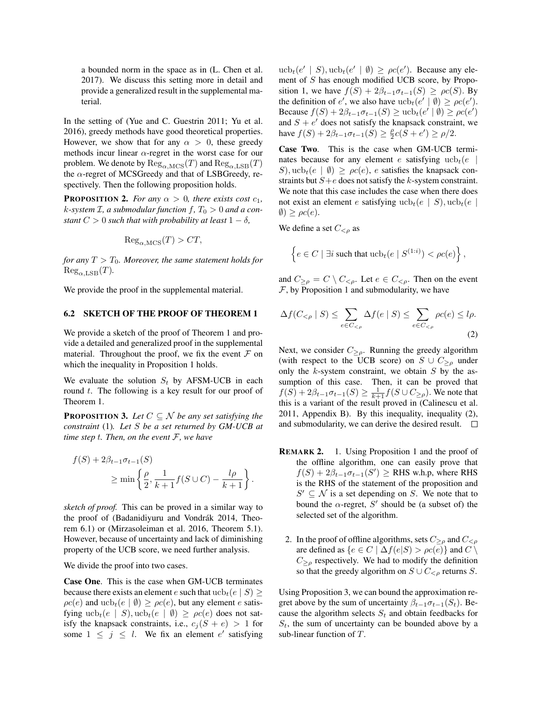a bounded norm in the space as in (L. Chen et al. 2017). We discuss this setting more in detail and provide a generalized result in the supplemental material.

In the setting of (Yue and C. Guestrin 2011; Yu et al. 2016), greedy methods have good theoretical properties. However, we show that for any  $\alpha > 0$ , these greedy methods incur linear  $\alpha$ -regret in the worst case for our problem. We denote by  $\text{Reg}_{\alpha,\text{MCS}}(T)$  and  $\text{Reg}_{\alpha,\text{LSB}}(T)$ the  $\alpha$ -regret of MCSGreedy and that of LSBGreedy, respectively. Then the following proposition holds.

**PROPOSITION 2.** *For any*  $\alpha > 0$ *, there exists cost*  $c_1$ *,*  $k$ -system  $\mathcal{I}$ , a submodular function  $f$ ,  $T_0 > 0$  and a con*stant*  $C > 0$  *such that with probability at least*  $1 - \delta$ ,

$$
Reg_{\alpha, \text{MCS}}(T) > CT,
$$

*for any*  $T > T_0$ *. Moreover, the same statement holds for*  $\text{Reg}_{\alpha,\text{LSB}}(T)$ .

We provide the proof in the supplemental material.

#### 6.2 SKETCH OF THE PROOF OF THEOREM 1

We provide a sketch of the proof of Theorem 1 and provide a detailed and generalized proof in the supplemental material. Throughout the proof, we fix the event  $\mathcal F$  on which the inequality in Proposition 1 holds.

We evaluate the solution  $S_t$  by AFSM-UCB in each round  $t$ . The following is a key result for our proof of Theorem 1.

**PROPOSITION 3.** *Let*  $C \subseteq \mathcal{N}$  *be any set satisfying the constraint* (1)*. Let* S *be a set returned by GM-UCB at time step* t*. Then, on the event* F*, we have*

$$
f(S) + 2\beta_{t-1}\sigma_{t-1}(S)
$$
  
\n
$$
\geq \min\left\{\frac{\rho}{2}, \frac{1}{k+1}f(S \cup C) - \frac{l\rho}{k+1}\right\}.
$$

*sketch of proof.* This can be proved in a similar way to the proof of (Badanidiyuru and Vondrák 2014, Theorem 6.1) or (Mirzasoleiman et al. 2016, Theorem 5.1). However, because of uncertainty and lack of diminishing property of the UCB score, we need further analysis.

We divide the proof into two cases.

Case One. This is the case when GM-UCB terminates because there exists an element e such that  $\operatorname{ucb}_t(e \mid S) \geq$  $\rho c(e)$  and  $ucb_t(e | \emptyset) \ge \rho c(e)$ , but any element e satisfying  $ucb_t(e | S)$ ,  $ucb_t(e | \emptyset) \ge \rho c(e)$  does not satisfy the knapsack constraints, i.e.,  $c_i (S + e) > 1$  for some  $1 \leq j \leq l$ . We fix an element e' satisfying

 $ucb_t(e' | S), ucb_t(e' | \emptyset) \ge \rho c(e')$ . Because any element of S has enough modified UCB score, by Proposition 1, we have  $f(S) + 2\beta_{t-1}\sigma_{t-1}(S) \ge \rho c(S)$ . By the definition of e', we also have  $ucb_t(e' | \emptyset) \ge \rho c(e')$ . Because  $f(S) + 2\beta_{t-1}\sigma_{t-1}(S) \ge \text{ucb}_t(e' \mid \emptyset) \ge \rho c(e')$ and  $S + e'$  does not satisfy the knapsack constraint, we have  $f(S) + 2\beta_{t-1}\sigma_{t-1}(S) \ge \frac{\rho}{2}c(S + e') \ge \rho/2$ .

Case Two. This is the case when GM-UCB terminates because for any element e satisfying  $ucb_t(e)$ S), ucb<sub>t</sub> $(e | \emptyset) \geq \rho c(e)$ , e satisfies the knapsack constraints but  $S + e$  does not satisfy the k-system constraint. We note that this case includes the case when there does not exist an element e satisfying  $ucb_t(e | S)$ ,  $ucb_t(e |$  $\emptyset$ )  $\geq \rho c(e)$ .

We define a set  $C_{\leq \rho}$  as

$$
\left\{e \in C \mid \exists i \text{ such that } \mathrm{ucb}_t(e \mid S^{(1:i)}) < \rho c(e)\right\},\
$$

and  $C_{\geq \rho} = C \setminus C_{\leq \rho}$ . Let  $e \in C_{\leq \rho}$ . Then on the event  $F$ , by Proposition 1 and submodularity, we have

$$
\Delta f(C_{<\rho} \mid S) \leq \sum_{e \in C_{<\rho}} \Delta f(e \mid S) \leq \sum_{e \in C_{<\rho}} \rho c(e) \leq l\rho.
$$
\n(2)

Next, we consider  $C_{\geq \rho}$ . Running the greedy algorithm (with respect to the UCB score) on  $S \cup C_{\geq \rho}$  under only the  $k$ -system constraint, we obtain  $S$  by the assumption of this case. Then, it can be proved that  $f(S) + 2\beta_{t-1}\sigma_{t-1}(S) \geq \frac{1}{k+1}f(S \cup C_{\geq \rho}).$  We note that this is a variant of the result proved in (Calinescu et al. 2011, Appendix B). By this inequality, inequality (2), and submodularity, we can derive the desired result.  $\square$ 

- REMARK 2. 1. Using Proposition 1 and the proof of the offline algorithm, one can easily prove that  $f(S) + 2\beta_{t-1}\sigma_{t-1}(S') \ge$  RHS w.h.p, where RHS is the RHS of the statement of the proposition and  $S' \subseteq \mathcal{N}$  is a set depending on S. We note that to bound the  $\alpha$ -regret, S' should be (a subset of) the selected set of the algorithm.
	- 2. In the proof of offline algorithms, sets  $C_{\geq \rho}$  and  $C_{\leq \rho}$ are defined as  $\{e \in C \mid \Delta f(e|S) > \rho c(e)\}\$  and  $C \setminus$  $C_{\geq \rho}$  respectively. We had to modify the definition so that the greedy algorithm on  $S \cup C_{\leq \rho}$  returns S.

Using Proposition 3, we can bound the approximation regret above by the sum of uncertainty  $\beta_{t-1}\sigma_{t-1}(S_t)$ . Because the algorithm selects  $S_t$  and obtain feedbacks for  $S_t$ , the sum of uncertainty can be bounded above by a sub-linear function of T.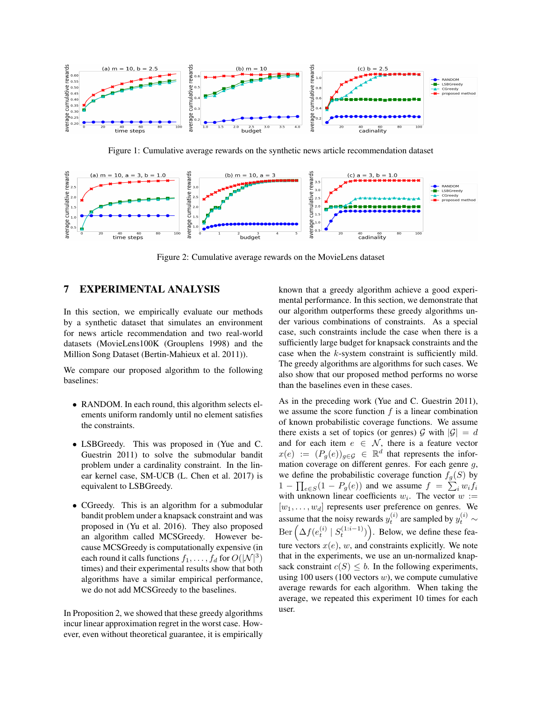

Figure 1: Cumulative average rewards on the synthetic news article recommendation dataset



Figure 2: Cumulative average rewards on the MovieLens dataset

# 7 EXPERIMENTAL ANALYSIS

In this section, we empirically evaluate our methods by a synthetic dataset that simulates an environment for news article recommendation and two real-world datasets (MovieLens100K (Grouplens 1998) and the Million Song Dataset (Bertin-Mahieux et al. 2011)).

We compare our proposed algorithm to the following baselines:

- RANDOM. In each round, this algorithm selects elements uniform randomly until no element satisfies the constraints.
- LSBGreedy. This was proposed in (Yue and C. Guestrin 2011) to solve the submodular bandit problem under a cardinality constraint. In the linear kernel case, SM-UCB (L. Chen et al. 2017) is equivalent to LSBGreedy.
- CGreedy. This is an algorithm for a submodular bandit problem under a knapsack constraint and was proposed in (Yu et al. 2016). They also proposed an algorithm called MCSGreedy. However because MCSGreedy is computationally expensive (in each round it calls functions  $f_1, \ldots, f_d$  for  $O(|\mathcal{N}|^3)$ times) and their experimental results show that both algorithms have a similar empirical performance, we do not add MCSGreedy to the baselines.

In Proposition 2, we showed that these greedy algorithms incur linear approximation regret in the worst case. However, even without theoretical guarantee, it is empirically known that a greedy algorithm achieve a good experimental performance. In this section, we demonstrate that our algorithm outperforms these greedy algorithms under various combinations of constraints. As a special case, such constraints include the case when there is a sufficiently large budget for knapsack constraints and the case when the k-system constraint is sufficiently mild. The greedy algorithms are algorithms for such cases. We also show that our proposed method performs no worse than the baselines even in these cases.

As in the preceding work (Yue and C. Guestrin 2011), we assume the score function  $f$  is a linear combination of known probabilistic coverage functions. We assume there exists a set of topics (or genres)  $\mathcal G$  with  $|\mathcal G|=d$ and for each item  $e \in \mathcal{N}$ , there is a feature vector  $x(e) := (P_g(e))_{g \in \mathcal{G}} \in \mathbb{R}^d$  that represents the information coverage on different genres. For each genre  $q$ , we define the probabilistic coverage function  $f<sub>g</sub>(S)$  by  $1 - \prod_{e \in S} (1 - P_g(e))$  and we assume  $f = \sum_i w_i f_i$ with unknown linear coefficients  $w_i$ . The vector  $w :=$  $[w_1, \ldots, w_d]$  represents user preference on genres. We assume that the noisy rewards  $y_t^{(i)}$  are sampled by  $y_t^{(i)} \sim$  $\text{Ber}\left(\Delta f(e_t^{(i)} \mid S_t^{(1:i-1)})\right)$ . Below, we define these feature vectors  $x(e)$ , w, and constraints explicitly. We note that in the experiments, we use an un-normalized knapsack constraint  $c(S) \leq b$ . In the following experiments, using 100 users (100 vectors  $w$ ), we compute cumulative average rewards for each algorithm. When taking the average, we repeated this experiment 10 times for each user.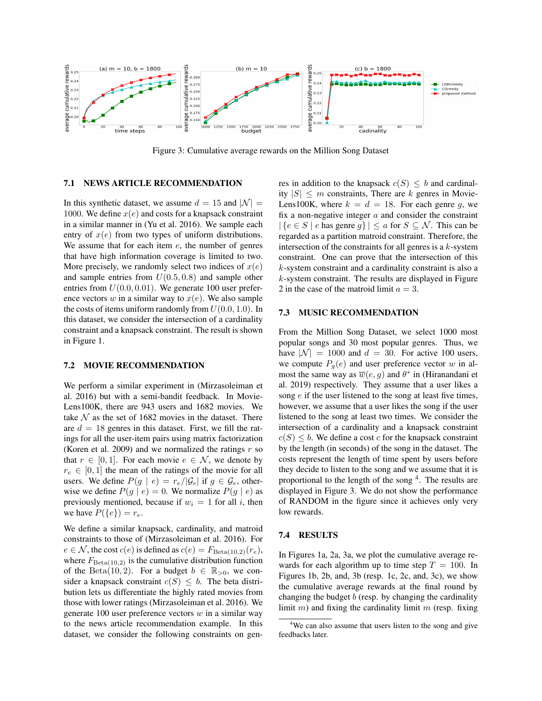

Figure 3: Cumulative average rewards on the Million Song Dataset

#### 7.1 NEWS ARTICLE RECOMMENDATION

In this synthetic dataset, we assume  $d = 15$  and  $|\mathcal{N}| =$ 1000. We define  $x(e)$  and costs for a knapsack constraint in a similar manner in (Yu et al. 2016). We sample each entry of  $x(e)$  from two types of uniform distributions. We assume that for each item  $e$ , the number of genres that have high information coverage is limited to two. More precisely, we randomly select two indices of  $x(e)$ and sample entries from  $U(0.5, 0.8)$  and sample other entries from  $U(0.0, 0.01)$ . We generate 100 user preference vectors w in a similar way to  $x(e)$ . We also sample the costs of items uniform randomly from  $U(0.0, 1.0)$ . In this dataset, we consider the intersection of a cardinality constraint and a knapsack constraint. The result is shown in Figure 1.

## 7.2 MOVIE RECOMMENDATION

We perform a similar experiment in (Mirzasoleiman et al. 2016) but with a semi-bandit feedback. In Movie-Lens100K, there are 943 users and 1682 movies. We take  $N$  as the set of 1682 movies in the dataset. There are  $d = 18$  genres in this dataset. First, we fill the ratings for all the user-item pairs using matrix factorization (Koren et al. 2009) and we normalized the ratings  $r$  so that  $r \in [0, 1]$ . For each movie  $e \in \mathcal{N}$ , we denote by  $r_e \in [0, 1]$  the mean of the ratings of the movie for all users. We define  $P(g \mid e) = r_e / |\mathcal{G}_e|$  if  $g \in \mathcal{G}_e$ , otherwise we define  $P(g \mid e) = 0$ . We normalize  $P(g \mid e)$  as previously mentioned, because if  $w_i = 1$  for all i, then we have  $P({e}) = r_e$ .

We define a similar knapsack, cardinality, and matroid constraints to those of (Mirzasoleiman et al. 2016). For  $e \in \mathcal{N}$ , the cost  $c(e)$  is defined as  $c(e) = F_{\text{Beta}(10,2)}(r_e)$ , where  $F_{\text{Beta}(10,2)}$  is the cumulative distribution function of the Beta(10, 2). For a budget  $b \in \mathbb{R}_{>0}$ , we consider a knapsack constraint  $c(S) \leq b$ . The beta distribution lets us differentiate the highly rated movies from those with lower ratings (Mirzasoleiman et al. 2016). We generate 100 user preference vectors  $w$  in a similar way to the news article recommendation example. In this dataset, we consider the following constraints on genres in addition to the knapsack  $c(S) \leq b$  and cardinality  $|S| \le m$  constraints, There are k genres in Movie-Lens100K, where  $k = d = 18$ . For each genre g, we fix a non-negative integer  $a$  and consider the constraint  $|\{e \in S \mid e \text{ has genre } g\}| \leq a \text{ for } S \subseteq \mathcal{N}$ . This can be regarded as a partition matroid constraint. Therefore, the intersection of the constraints for all genres is a  $k$ -system constraint. One can prove that the intersection of this k-system constraint and a cardinality constraint is also a  $k$ -system constraint. The results are displayed in Figure 2 in the case of the matroid limit  $a = 3$ .

#### 7.3 MUSIC RECOMMENDATION

From the Million Song Dataset, we select 1000 most popular songs and 30 most popular genres. Thus, we have  $|\mathcal{N}| = 1000$  and  $d = 30$ . For active 100 users, we compute  $P_q(e)$  and user preference vector w in almost the same way as  $\overline{w}(e, g)$  and  $\theta^*$  in (Hiranandani et al. 2019) respectively. They assume that a user likes a song  $e$  if the user listened to the song at least five times, however, we assume that a user likes the song if the user listened to the song at least two times. We consider the intersection of a cardinality and a knapsack constraint  $c(S) \leq b$ . We define a cost c for the knapsack constraint by the length (in seconds) of the song in the dataset. The costs represent the length of time spent by users before they decide to listen to the song and we assume that it is proportional to the length of the song <sup>4</sup>. The results are displayed in Figure 3. We do not show the performance of RANDOM in the figure since it achieves only very low rewards.

#### 7.4 RESULTS

In Figures 1a, 2a, 3a, we plot the cumulative average rewards for each algorithm up to time step  $T = 100$ . In Figures 1b, 2b, and, 3b (resp. 1c, 2c, and, 3c), we show the cumulative average rewards at the final round by changing the budget  $b$  (resp. by changing the cardinality limit  $m$ ) and fixing the cardinality limit  $m$  (resp. fixing

<sup>&</sup>lt;sup>4</sup>We can also assume that users listen to the song and give feedbacks later.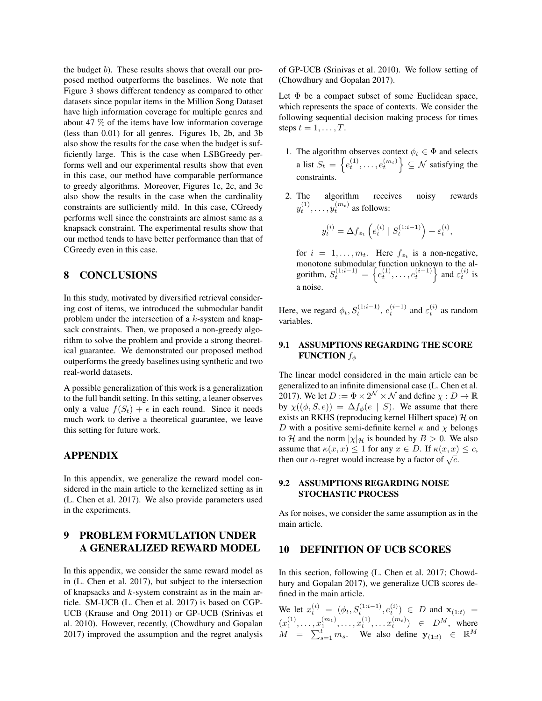the budget b). These results shows that overall our proposed method outperforms the baselines. We note that Figure 3 shows different tendency as compared to other datasets since popular items in the Million Song Dataset have high information coverage for multiple genres and about 47 % of the items have low information coverage (less than 0.01) for all genres. Figures 1b, 2b, and 3b also show the results for the case when the budget is sufficiently large. This is the case when LSBGreedy performs well and our experimental results show that even in this case, our method have comparable performance to greedy algorithms. Moreover, Figures 1c, 2c, and 3c also show the results in the case when the cardinality constraints are sufficiently mild. In this case, CGreedy performs well since the constraints are almost same as a knapsack constraint. The experimental results show that our method tends to have better performance than that of CGreedy even in this case.

## 8 CONCLUSIONS

In this study, motivated by diversified retrieval considering cost of items, we introduced the submodular bandit problem under the intersection of a k-system and knapsack constraints. Then, we proposed a non-greedy algorithm to solve the problem and provide a strong theoretical guarantee. We demonstrated our proposed method outperforms the greedy baselines using synthetic and two real-world datasets.

A possible generalization of this work is a generalization to the full bandit setting. In this setting, a leaner observes only a value  $f(S_t) + \epsilon$  in each round. Since it needs much work to derive a theoretical guarantee, we leave this setting for future work.

### APPENDIX

In this appendix, we generalize the reward model considered in the main article to the kernelized setting as in (L. Chen et al. 2017). We also provide parameters used in the experiments.

# 9 PROBLEM FORMULATION UNDER A GENERALIZED REWARD MODEL

In this appendix, we consider the same reward model as in (L. Chen et al. 2017), but subject to the intersection of knapsacks and  $k$ -system constraint as in the main article. SM-UCB (L. Chen et al. 2017) is based on CGP-UCB (Krause and Ong 2011) or GP-UCB (Srinivas et al. 2010). However, recently, (Chowdhury and Gopalan 2017) improved the assumption and the regret analysis of GP-UCB (Srinivas et al. 2010). We follow setting of (Chowdhury and Gopalan 2017).

Let  $\Phi$  be a compact subset of some Euclidean space, which represents the space of contexts. We consider the following sequential decision making process for times steps  $t = 1, \ldots, T$ .

- 1. The algorithm observes context  $\phi_t \in \Phi$  and selects a list  $S_t = \left\{e_t^{(1)}, \ldots, e_t^{(m_t)}\right\} \subseteq \mathcal{N}$  satisfying the constraints.
- 2. The algorithm receives noisy rewards  $y_t^{(1)}, \ldots, y_t^{(m_t)}$  as follows:

$$
y_t^{(i)} = \Delta f_{\phi_t} \left( e_t^{(i)} \mid S_t^{(1:i-1)} \right) + \varepsilon_t^{(i)},
$$

for  $i = 1, \ldots, m_t$ . Here  $f_{\phi_t}$  is a non-negative, monotone submodular function unknown to the algorithm,  $S_t^{(1:i-1)} = \left\{ e_t^{(1)}, \ldots, e_t^{(i-1)} \right\}$  and  $\varepsilon_t^{(i)}$  is a noise.

Here, we regard  $\phi_t$ ,  $S_t^{(1:i-1)}$ ,  $e_t^{(i-1)}$  and  $\varepsilon_t^{(i)}$  as random variables.

### 9.1 ASSUMPTIONS REGARDING THE SCORE **FUNCTION**  $f_{\phi}$

The linear model considered in the main article can be generalized to an infinite dimensional case (L. Chen et al. 2017). We let  $D := \Phi \times 2^{\mathcal{N}} \times \mathcal{N}$  and define  $\chi : D \to \mathbb{R}$ by  $\chi((\phi, S, e)) = \Delta f_{\phi}(e \mid S)$ . We assume that there exists an RKHS (reproducing kernel Hilbert space)  $H$  on D with a positive semi-definite kernel  $\kappa$  and  $\chi$  belongs to H and the norm  $|\chi|_{\mathcal{H}}$  is bounded by  $B > 0$ . We also assume that  $\kappa(x, x) \leq 1$  for any  $x \in D$ . If  $\kappa(x, x) \leq c$ , assume that  $\kappa(x, x) \le 1$  for any  $x \in D$ . If  $\kappa(x, x)$ <br>then our  $\alpha$ -regret would increase by a factor of  $\sqrt{c}$ .

### 9.2 ASSUMPTIONS REGARDING NOISE STOCHASTIC PROCESS

As for noises, we consider the same assumption as in the main article.

## 10 DEFINITION OF UCB SCORES

In this section, following (L. Chen et al. 2017; Chowdhury and Gopalan 2017), we generalize UCB scores defined in the main article.

We let  $x_t^{(i)} = (\phi_t, S_t^{(1:i-1)}, e_t^{(i)}) \in D$  and  $\mathbf{x}_{(1:t)} =$  $(x_1^{(1)},...,x_1^{(m_1)},...,x_t^{(1)},...x_t^{(m_t)}) \in D^M$ , where  $M = \sum_{s=1}^{t} m_s$ . We also define  $y_{(1:t)} \in \mathbb{R}^M$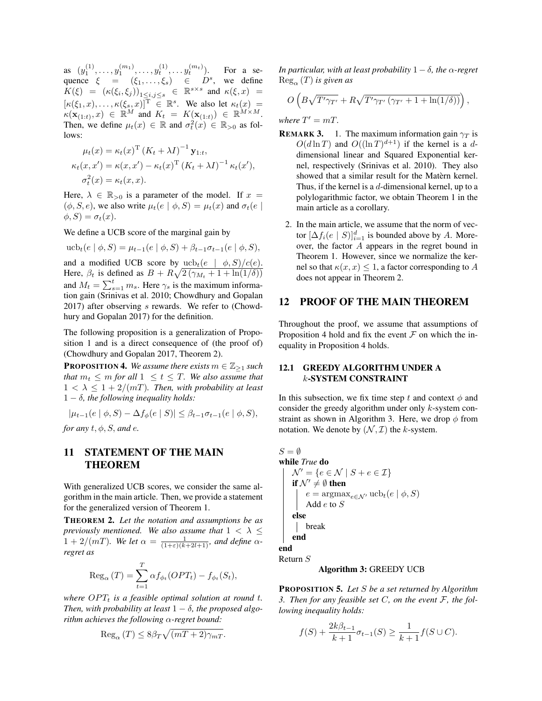as  $(y_1^{(1)}, \ldots, y_1^{(m_1)}, \ldots, y_t^{(1)}, \ldots, y_t^{(m_t)})$ . For a sequence  $\xi = (\xi_1, \ldots, \xi_s) \in D^s$ , we define  $K(\xi) = (\kappa(\xi_i, \xi_j))_{1 \leq i, j \leq s} \in \mathbb{R}^{s \times s}$  and  $\kappa(\xi, x) =$  $[\kappa(\xi_1, x), \ldots, \kappa(\xi_s, x)]^T \in \mathbb{R}^s$ . We also let  $\kappa_t(x) =$  $\kappa(\mathbf{x}_{(1:t)},x) \in \mathbb{R}^M$  and  $K_t = K(\mathbf{x}_{(1:t)}) \in \mathbb{R}^{M \times M}$ . Then, we define  $\mu_t(x) \in \mathbb{R}$  and  $\sigma_t^2(x) \in \mathbb{R}_{>0}$  as follows:

$$
\mu_t(x) = \kappa_t(x)^{\mathrm{T}} (K_t + \lambda I)^{-1} \mathbf{y}_{1:t},
$$
  
\n
$$
\kappa_t(x, x') = \kappa(x, x') - \kappa_t(x)^{\mathrm{T}} (K_t + \lambda I)^{-1} \kappa_t(x'),
$$
  
\n
$$
\sigma_t^2(x) = \kappa_t(x, x).
$$

Here,  $\lambda \in \mathbb{R}_{>0}$  is a parameter of the model. If  $x =$  $(\phi, S, e)$ , we also write  $\mu_t(e | \phi, S) = \mu_t(x)$  and  $\sigma_t(e |$  $\phi$ ,  $S$ ) =  $\sigma_t(x)$ .

We define a UCB score of the marginal gain by

$$
\text{ucb}_{t}(e \mid \phi, S) = \mu_{t-1}(e \mid \phi, S) + \beta_{t-1}\sigma_{t-1}(e \mid \phi, S),
$$

and a modified UCB score by  $ucb_t(e \mid \phi, S)/c(e)$ . Here,  $\beta_t$  is defined as  $B + R\sqrt{2(\gamma_{M_t} + 1 + \ln(1/\delta))}$ and  $M_t = \sum_{s=1}^t m_s$ . Here  $\gamma_s$  is the maximum information gain (Srinivas et al. 2010; Chowdhury and Gopalan  $2017$ ) after observing s rewards. We refer to (Chowdhury and Gopalan 2017) for the definition.

The following proposition is a generalization of Proposition 1 and is a direct consequence of (the proof of) (Chowdhury and Gopalan 2017, Theorem 2).

**PROPOSITION 4.** *We assume there exists*  $m \in \mathbb{Z}_{\geq 1}$  *such that*  $m_t \leq m$  *for all*  $1 \leq t \leq T$ *. We also assume that*  $1 < \lambda \leq 1 + 2/(mT)$ . Then, with probability at least  $1 - \delta$ , the following inequality holds:

$$
|\mu_{t-1}(e | \phi, S) - \Delta f_{\phi}(e | S)| \leq \beta_{t-1} \sigma_{t-1}(e | \phi, S),
$$

*for any*  $t, \phi, S$ *, and e.* 

# 11 STATEMENT OF THE MAIN THEOREM

With generalized UCB scores, we consider the same algorithm in the main article. Then, we provide a statement for the generalized version of Theorem 1.

THEOREM 2. *Let the notation and assumptions be as previously mentioned. We also assume that*  $1 < \lambda \leq$  $1 + 2/(mT)$ *. We let*  $\alpha = \frac{1}{(1+\varepsilon)(k+2l+1)}$ *, and define*  $\alpha$ *regret as*

$$
\operatorname{Reg}_{\alpha}(T) = \sum_{t=1}^{T} \alpha f_{\phi_t}(OPT_t) - f_{\phi_t}(S_t),
$$

*where*  $OPT_t$  *is a feasible optimal solution at round t. Then, with probability at least*  $1 - \delta$ *, the proposed algorithm achieves the following* α*-regret bound:*

$$
Reg_{\alpha}(T) \leq 8\beta_T \sqrt{(mT+2)\gamma_{mT}}.
$$

*In particular, with at least probability*  $1 - \delta$ *, the*  $\alpha$ -regret  $\text{Reg}_{\alpha}(T)$  *is given as* 

$$
O\left(B\sqrt{T'\gamma_{T'}}+R\sqrt{T'\gamma_{T'}(\gamma_{T'}+1+\ln(1/\delta))}\right),\,
$$

where  $T' = mT$ .

- **REMARK 3.** 1. The maximum information gain  $\gamma_T$  is  $O(d \ln T)$  and  $O((\ln T)^{d+1})$  if the kernel is a ddimensional linear and Squared Exponential kernel, respectively (Srinivas et al. 2010). They also showed that a similar result for the Matern kernel. Thus, if the kernel is a  $d$ -dimensional kernel, up to a polylogarithmic factor, we obtain Theorem 1 in the main article as a corollary.
	- 2. In the main article, we assume that the norm of vector  $[\Delta f_i(e \mid S)]_{i=1}^d$  is bounded above by A. Moreover, the factor A appears in the regret bound in Theorem 1. However, since we normalize the kernel so that  $\kappa(x, x) \leq 1$ , a factor corresponding to A does not appear in Theorem 2.

# 12 PROOF OF THE MAIN THEOREM

Throughout the proof, we assume that assumptions of Proposition 4 hold and fix the event  $F$  on which the inequality in Proposition 4 holds.

#### 12.1 GREEDY ALGORITHM UNDER A k-SYSTEM CONSTRAINT

In this subsection, we fix time step t and context  $\phi$  and consider the greedy algorithm under only k-system constraint as shown in Algorithm 3. Here, we drop  $\phi$  from notation. We denote by  $(\mathcal{N}, \mathcal{I})$  the k-system.

 $S = \emptyset$ while *True* do  $\mathcal{N}' = \{e \in \mathcal{N} \mid S + e \in \mathcal{I}\}\$ if  $\mathcal{N}' \neq \emptyset$  then  $e = \operatorname{argmax}_{e \in \mathcal{N}'} \operatorname{ucb}_t(e \mid \phi, S)$ Add e to S else break end end Return S

#### Algorithm 3: GREEDY UCB

PROPOSITION 5. *Let* S *be a set returned by Algorithm 3. Then for any feasible set* C*, on the event* F*, the following inequality holds:*

$$
f(S) + \frac{2k\beta_{t-1}}{k+1}\sigma_{t-1}(S) \ge \frac{1}{k+1}f(S \cup C).
$$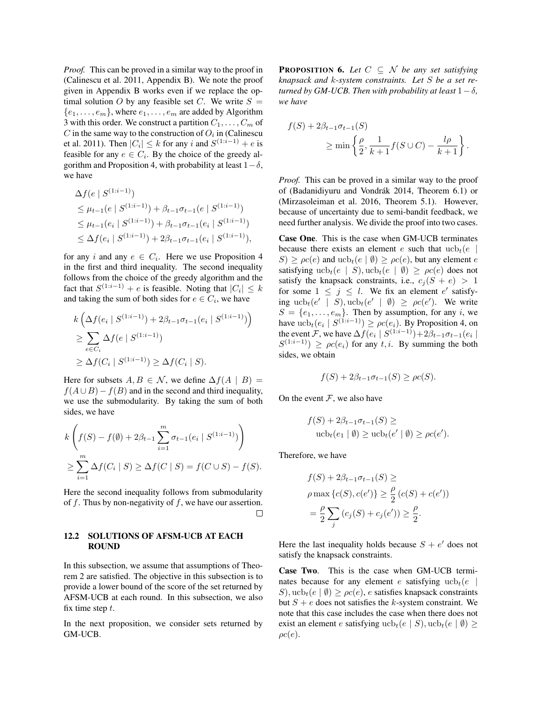*Proof.* This can be proved in a similar way to the proof in (Calinescu et al. 2011, Appendix B). We note the proof given in Appendix B works even if we replace the optimal solution O by any feasible set C. We write  $S =$  $\{e_1, \ldots, e_m\}$ , where  $e_1, \ldots, e_m$  are added by Algorithm 3 with this order. We construct a partition  $C_1, \ldots, C_m$  of C in the same way to the construction of  $O_i$  in (Calinescu et al. 2011). Then  $|C_i| \leq k$  for any i and  $S^{(1:i-1)} + e$  is feasible for any  $e \in C_i$ . By the choice of the greedy algorithm and Proposition 4, with probability at least  $1-\delta$ , we have

$$
\Delta f(e \mid S^{(1:i-1)})
$$
\n
$$
\leq \mu_{t-1}(e \mid S^{(1:i-1)}) + \beta_{t-1}\sigma_{t-1}(e \mid S^{(1:i-1)})
$$
\n
$$
\leq \mu_{t-1}(e_i \mid S^{(1:i-1)}) + \beta_{t-1}\sigma_{t-1}(e_i \mid S^{(1:i-1)})
$$
\n
$$
\leq \Delta f(e_i \mid S^{(1:i-1)}) + 2\beta_{t-1}\sigma_{t-1}(e_i \mid S^{(1:i-1)}),
$$

for any i and any  $e \in C_i$ . Here we use Proposition 4 in the first and third inequality. The second inequality follows from the choice of the greedy algorithm and the fact that  $S^{(1:i-1)} + e$  is feasible. Noting that  $|C_i| \leq k$ and taking the sum of both sides for  $e \in C_i$ , we have

$$
k\left(\Delta f(e_i \mid S^{(1:i-1)}) + 2\beta_{t-1}\sigma_{t-1}(e_i \mid S^{(1:i-1)})\right)
$$
  
\n
$$
\geq \sum_{e \in C_i} \Delta f(e \mid S^{(1:i-1)})
$$
  
\n
$$
\geq \Delta f(C_i \mid S^{(1:i-1)}) \geq \Delta f(C_i \mid S).
$$

Here for subsets  $A, B \in \mathcal{N}$ , we define  $\Delta f(A \mid B) =$  $f(A \cup B) - f(B)$  and in the second and third inequality, we use the submodularity. By taking the sum of both sides, we have

$$
k\left(f(S) - f(\emptyset) + 2\beta_{t-1} \sum_{i=1}^{m} \sigma_{t-1}(e_i \mid S^{(1:i-1)})\right)
$$
  
\n
$$
\geq \sum_{i=1}^{m} \Delta f(C_i \mid S) \geq \Delta f(C \mid S) = f(C \cup S) - f(S).
$$

Here the second inequality follows from submodularity of  $f$ . Thus by non-negativity of  $f$ , we have our assertion.  $\Box$ 

### 12.2 SOLUTIONS OF AFSM-UCB AT EACH ROUND

In this subsection, we assume that assumptions of Theorem 2 are satisfied. The objective in this subsection is to provide a lower bound of the score of the set returned by AFSM-UCB at each round. In this subsection, we also fix time step  $t$ .

In the next proposition, we consider sets returned by GM-UCB.

**PROPOSITION 6.** Let  $C \subseteq \mathcal{N}$  be any set satisfying *knapsack and* k*-system constraints. Let* S *be a set returned by GM-UCB. Then with probability at least*  $1-\delta$ *, we have*

$$
f(S) + 2\beta_{t-1}\sigma_{t-1}(S)
$$
  
\n
$$
\geq \min\left\{\frac{\rho}{2}, \frac{1}{k+1}f(S \cup C) - \frac{l\rho}{k+1}\right\}.
$$

*Proof.* This can be proved in a similar way to the proof of (Badanidiyuru and Vondrák 2014, Theorem 6.1) or (Mirzasoleiman et al. 2016, Theorem 5.1). However, because of uncertainty due to semi-bandit feedback, we need further analysis. We divide the proof into two cases.

Case One. This is the case when GM-UCB terminates because there exists an element e such that  $ucb_t(e)$  $S \ge \rho c(e)$  and  $ucb_t(e | \emptyset) \ge \rho c(e)$ , but any element e satisfying  $ucb_t(e | S)$ ,  $ucb_t(e | \emptyset) \ge \rho c(e)$  does not satisfy the knapsack constraints, i.e.,  $c_j (S + e) > 1$ for some  $1 \leq j \leq l$ . We fix an element e' satisfying  $ucb_t(e' | S)$ ,  $ucb_t(e' | \emptyset) \ge \rho c(e')$ . We write  $S = \{e_1, \ldots, e_m\}$ . Then by assumption, for any i, we have  $ucb_t(e_i \mid S^{(1:i-1)}) \ge \rho c(e_i)$ . By Proposition 4, on the event F, we have  $\Delta f(e_i \mid S^{(1:i-1)}) + 2\beta_{t-1}\sigma_{t-1}(e_i \mid$  $S^{(1:i-1)} \ge \rho c(e_i)$  for any t, i. By summing the both sides, we obtain

$$
f(S) + 2\beta_{t-1}\sigma_{t-1}(S) \ge \rho c(S).
$$

On the event  $F$ , we also have

$$
f(S) + 2\beta_{t-1}\sigma_{t-1}(S) \ge
$$
  
 
$$
\operatorname{ucb}_t(e_1 \mid \emptyset) \ge \operatorname{ucb}_t(e' \mid \emptyset) \ge \rho c(e').
$$

Therefore, we have

$$
f(S) + 2\beta_{t-1}\sigma_{t-1}(S) \ge
$$
  

$$
\rho \max \{c(S), c(e')\} \ge \frac{\rho}{2} (c(S) + c(e'))
$$
  

$$
= \frac{\rho}{2} \sum_{j} (c_j(S) + c_j(e')) \ge \frac{\rho}{2}.
$$

Here the last inequality holds because  $S + e'$  does not satisfy the knapsack constraints.

Case Two. This is the case when GM-UCB terminates because for any element e satisfying  $ucb_t(e)$ S), ucb<sub>t</sub>(e  $|\emptyset\rangle \ge \rho c(e)$ , e satisfies knapsack constraints but  $S + e$  does not satisfies the k-system constraint. We note that this case includes the case when there does not exist an element e satisfying  $ucb_t(e | S)$ ,  $ucb_t(e | \emptyset)$  $\rho c(e)$ .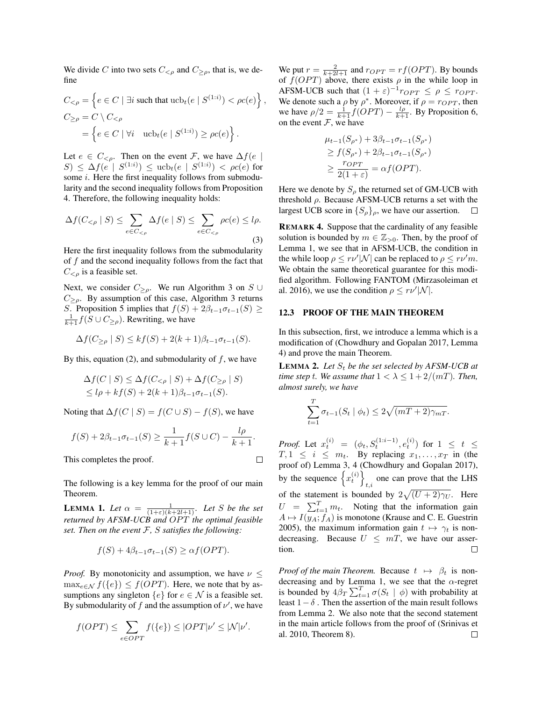We divide C into two sets  $C_{\leq \rho}$  and  $C_{\geq \rho}$ , that is, we define

$$
C_{\leq \rho} = \left\{ e \in C \mid \exists i \text{ such that } ucb_t(e \mid S^{(1:i)}) < \rho c(e) \right\},\
$$

$$
C_{\geq \rho} = C \setminus C_{\leq \rho}
$$

$$
= \left\{ e \in C \mid \forall i \quad ucb_t(e \mid S^{(1:i)}) \geq \rho c(e) \right\}.
$$

Let  $e \in C_{\leq \rho}$ . Then on the event F, we have  $\Delta f(e)$  $S)$  ≤ Δ $f(e | S<sup>(1:i)</sup>)$  ≤ ucb<sub>t</sub>(e | S<sup>(1:i)</sup>) < ρc(e) for some *i*. Here the first inequality follows from submodularity and the second inequality follows from Proposition 4. Therefore, the following inequality holds:

$$
\Delta f(C_{\leq \rho} \mid S) \leq \sum_{e \in C_{\leq \rho}} \Delta f(e \mid S) \leq \sum_{e \in C_{\leq \rho}} \rho c(e) \leq l\rho.
$$
\n(3)

Here the first inequality follows from the submodularity of  $f$  and the second inequality follows from the fact that  $C_{\leq \rho}$  is a feasible set.

Next, we consider  $C_{\geq \rho}$ . We run Algorithm 3 on S ∪  $C_{\geq 0}$ . By assumption of this case, Algorithm 3 returns S. Proposition 5 implies that  $f(S) + 2\beta_{t-1}\sigma_{t-1}(S) \ge$  $\frac{1}{k+1} f(S \cup C_{\geq \rho})$ . Rewriting, we have

$$
\Delta f(C_{\geq \rho} \mid S) \leq kf(S) + 2(k+1)\beta_{t-1}\sigma_{t-1}(S).
$$

By this, equation (2), and submodularity of  $f$ , we have

$$
\Delta f(C \mid S) \leq \Delta f(C_{\leq \rho} \mid S) + \Delta f(C_{\geq \rho} \mid S)
$$
  

$$
\leq l\rho + kf(S) + 2(k+1)\beta_{t-1}\sigma_{t-1}(S).
$$

Noting that  $\Delta f(C \mid S) = f(C \cup S) - f(S)$ , we have

$$
f(S) + 2\beta_{t-1}\sigma_{t-1}(S) \ge \frac{1}{k+1}f(S \cup C) - \frac{l\rho}{k+1}.
$$

 $\Box$ 

This completes the proof.

The following is a key lemma for the proof of our main Theorem.

**LEMMA 1.** Let  $\alpha = \frac{1}{(1+\varepsilon)(k+2l+1)}$ . Let S be the set *returned by AFSM-UCB and OPT the optimal feasible set. Then on the event* F*,* S *satisfies the following:*

$$
f(S) + 4\beta_{t-1}\sigma_{t-1}(S) \geq \alpha f(OPT).
$$

*Proof.* By monotonicity and assumption, we have  $\nu \leq$  $\max_{e \in \mathcal{N}} f(\{e\}) \leq f(OPT)$ . Here, we note that by assumptions any singleton  $\{e\}$  for  $e \in \mathcal{N}$  is a feasible set. By submodularity of f and the assumption of  $\nu'$ , we have

$$
f(OPT) \le \sum_{e \in OPT} f(\{e\}) \le |OPT|\nu' \le |\mathcal{N}|\nu'.
$$

We put  $r = \frac{2}{k+2l+1}$  and  $r_{OPT} = rf(OPT)$ . By bounds of  $f(OPT)$  above, there exists  $\rho$  in the while loop in AFSM-UCB such that  $(1 + \varepsilon)^{-1} r_{OPT} \le \rho \le r_{OPT}$ . We denote such a  $\rho$  by  $\rho^*$ . Moreover, if  $\rho = r_{OPT}$ , then we have  $\rho/2 = \frac{1}{k+1} f(OPT) - \frac{l\rho}{k+1}$ . By Proposition 6, on the event  $F$ , we have

$$
\mu_{t-1}(S_{\rho^*}) + 3\beta_{t-1}\sigma_{t-1}(S_{\rho^*})
$$
  
\n
$$
\geq f(S_{\rho^*}) + 2\beta_{t-1}\sigma_{t-1}(S_{\rho^*})
$$
  
\n
$$
\geq \frac{r_{OPT}}{2(1+\varepsilon)} = \alpha f(OPT).
$$

Here we denote by  $S_{\rho}$  the returned set of GM-UCB with threshold  $\rho$ . Because AFSM-UCB returns a set with the largest UCB score in  $\{S_{\rho}\}_\rho$ , we have our assertion.  $\Box$ 

REMARK 4. Suppose that the cardinality of any feasible solution is bounded by  $m \in \mathbb{Z}_{>0}$ . Then, by the proof of Lemma 1, we see that in AFSM-UCB, the condition in the while loop  $\rho \leq r\nu'|\mathcal{N}|$  can be replaced to  $\rho \leq r\nu'm$ . We obtain the same theoretical guarantee for this modified algorithm. Following FANTOM (Mirzasoleiman et al. 2016), we use the condition  $\rho \leq r\nu'|\mathcal{N}|$ .

#### 12.3 PROOF OF THE MAIN THEOREM

In this subsection, first, we introduce a lemma which is a modification of (Chowdhury and Gopalan 2017, Lemma 4) and prove the main Theorem.

**LEMMA 2.** Let  $S_t$  be the set selected by AFSM-UCB at *time step t. We assume that*  $1 < \lambda \leq 1 + 2/(mT)$ *. Then, almost surely, we have*

$$
\sum_{t=1}^{T} \sigma_{t-1}(S_t | \phi_t) \le 2\sqrt{(mT+2)\gamma_{mT}}.
$$

*Proof.* Let  $x_t^{(i)} = (\phi_t, S_t^{(1:i-1)}, e_t^{(i)})$  for  $1 \le t \le$  $T, 1 \leq i \leq m_t$ . By replacing  $x_1, \ldots, x_T$  in (the proof of) Lemma 3, 4 (Chowdhury and Gopalan 2017), by the sequence  $\left\{x_t^{(i)}\right\}$ one can prove that the LHS of the statement is bounded by  $2\sqrt{(U+2)\gamma_U}$ . Here  $U = \sum_{t=1}^{T} m_t$ . Noting that the information gain  $A \mapsto I(y_A; f_A)$  is monotone (Krause and C. E. Guestrin 2005), the maximum information gain  $t \mapsto \gamma_t$  is nondecreasing. Because  $U \leq mT$ , we have our assertion.  $\Box$ 

*Proof of the main Theorem.* Because  $t \mapsto \beta_t$  is nondecreasing and by Lemma 1, we see that the  $\alpha$ -regret is bounded by  $4\beta_T \sum_{t=1}^T \sigma(S_t \mid \phi)$  with probability at least  $1-\delta$ . Then the assertion of the main result follows from Lemma 2. We also note that the second statement in the main article follows from the proof of (Srinivas et al. 2010, Theorem 8). $\Box$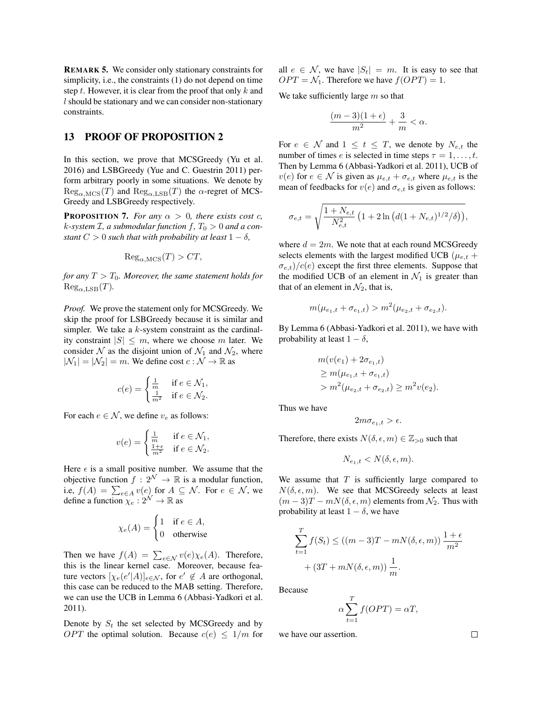REMARK 5. We consider only stationary constraints for simplicity, i.e., the constraints (1) do not depend on time step t. However, it is clear from the proof that only  $k$  and l should be stationary and we can consider non-stationary constraints.

## 13 PROOF OF PROPOSITION 2

In this section, we prove that MCSGreedy (Yu et al. 2016) and LSBGreedy (Yue and C. Guestrin 2011) perform arbitrary poorly in some situations. We denote by  $\text{Reg}_{\alpha,\text{MCS}}(T)$  and  $\text{Reg}_{\alpha,\text{LSB}}(T)$  the  $\alpha$ -regret of MCS-Greedy and LSBGreedy respectively.

**PROPOSITION 7.** *For any*  $\alpha > 0$ *, there exists cost c,*  $k$ -system  $\mathcal{I}$ , a submodular function  $f$ ,  $T_0 > 0$  and a con*stant*  $C > 0$  *such that with probability at least*  $1 - \delta$ *,* 

$$
Reg_{\alpha, \text{MCS}}(T) > CT,
$$

*for any*  $T > T_0$ *. Moreover, the same statement holds for*  $\text{Reg}_{\alpha,\text{LSB}}(T)$ .

*Proof.* We prove the statement only for MCSGreedy. We skip the proof for LSBGreedy because it is similar and simpler. We take a  $k$ -system constraint as the cardinality constraint  $|S| \leq m$ , where we choose m later. We consider N as the disjoint union of  $\mathcal{N}_1$  and  $\mathcal{N}_2$ , where  $|\mathcal{N}_1| = |\mathcal{N}_2| = m$ . We define cost  $c : \mathcal{N} \to \mathbb{R}$  as

$$
c(e) = \begin{cases} \frac{1}{m} & \text{if } e \in \mathcal{N}_1, \\ \frac{1}{m^2} & \text{if } e \in \mathcal{N}_2. \end{cases}
$$

For each  $e \in \mathcal{N}$ , we define  $v_e$  as follows:

$$
v(e) = \begin{cases} \frac{1}{m} & \text{if } e \in \mathcal{N}_1, \\ \frac{1+\epsilon}{m^2} & \text{if } e \in \mathcal{N}_2. \end{cases}
$$

Here  $\epsilon$  is a small positive number. We assume that the objective function  $f: 2^{\mathcal{N}} \to \mathbb{R}$  is a modular function, i.e,  $f(A) = \sum_{e \in A} v(e)$  for  $A \subseteq \mathcal{N}$ . For  $e \in \mathcal{N}$ , we define a function  $\chi_e : 2^{\mathcal{N}} \to \mathbb{R}$  as

$$
\chi_e(A) = \begin{cases} 1 & \text{if } e \in A, \\ 0 & \text{otherwise} \end{cases}
$$

Then we have  $f(A) = \sum_{e \in \mathcal{N}} v(e) \chi_e(A)$ . Therefore, this is the linear kernel case. Moreover, because feature vectors  $[\chi_e(e'|A)]_{e \in \mathcal{N}}$ , for  $e' \notin A$  are orthogonal, this case can be reduced to the MAB setting. Therefore, we can use the UCB in Lemma 6 (Abbasi-Yadkori et al. 2011).

Denote by  $S_t$  the set selected by MCSGreedy and by *OPT* the optimal solution. Because  $c(e) \leq 1/m$  for all  $e \in \mathcal{N}$ , we have  $|S_t| = m$ . It is easy to see that  $OPT = \mathcal{N}_1$ . Therefore we have  $f(OPT) = 1$ .

We take sufficiently large  $m$  so that

$$
\frac{(m-3)(1+\epsilon)}{m^2} + \frac{3}{m} < \alpha.
$$

For  $e \in \mathcal{N}$  and  $1 \leq t \leq T$ , we denote by  $N_{e,t}$  the number of times e is selected in time steps  $\tau = 1, \ldots, t$ . Then by Lemma 6 (Abbasi-Yadkori et al. 2011), UCB of  $v(e)$  for  $e \in \mathcal{N}$  is given as  $\mu_{e,t} + \sigma_{e,t}$  where  $\mu_{e,t}$  is the mean of feedbacks for  $v(e)$  and  $\sigma_{e,t}$  is given as follows:

$$
\sigma_{e,t} = \sqrt{\frac{1 + N_{e,t}}{N_{e,t}^2} \left(1 + 2 \ln \left(d(1 + N_{e,t})^{1/2} / \delta\right)\right)},
$$

where  $d = 2m$ . We note that at each round MCSGreedy selects elements with the largest modified UCB ( $\mu_{e,t}$  +  $(\sigma_{e,t})/c(e)$  except the first three elements. Suppose that the modified UCB of an element in  $\mathcal{N}_1$  is greater than that of an element in  $\mathcal{N}_2$ , that is,

$$
m(\mu_{e_1,t} + \sigma_{e_1,t}) > m^2(\mu_{e_2,t} + \sigma_{e_2,t}).
$$

By Lemma 6 (Abbasi-Yadkori et al. 2011), we have with probability at least  $1 - \delta$ ,

$$
m(v(e_1) + 2\sigma_{e_1,t})
$$
  
\n
$$
\geq m(\mu_{e_1,t} + \sigma_{e_1,t})
$$
  
\n
$$
> m^2(\mu_{e_2,t} + \sigma_{e_2,t}) \geq m^2v(e_2).
$$

Thus we have

$$
2m\sigma_{e_1,t} > \epsilon.
$$

Therefore, there exists  $N(\delta, \epsilon, m) \in \mathbb{Z}_{>0}$  such that

$$
N_{e_1,t} < N(\delta, \epsilon, m).
$$

We assume that  $T$  is sufficiently large compared to  $N(\delta, \epsilon, m)$ . We see that MCSGreedy selects at least  $(m-3)T - mN(\delta, \epsilon, m)$  elements from  $\mathcal{N}_2$ . Thus with probability at least  $1 - \delta$ , we have

$$
\sum_{t=1}^{T} f(S_t) \le ((m-3)T - mN(\delta, \epsilon, m)) \frac{1+\epsilon}{m^2} + (3T + mN(\delta, \epsilon, m)) \frac{1}{m}.
$$

Because

$$
\alpha \sum_{t=1}^{T} f(OPT) = \alpha T,
$$

we have our assertion.

 $\Box$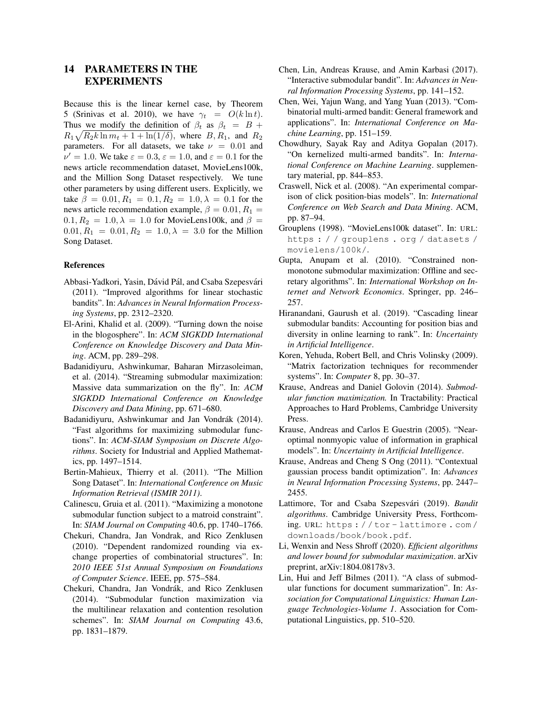# 14 PARAMETERS IN THE EXPERIMENTS

Because this is the linear kernel case, by Theorem 5 (Srinivas et al. 2010), we have  $\gamma_t = O(k \ln t)$ . Thus we modify the definition of  $\beta_t$  as  $\beta_t = B +$  $R_1\sqrt{R_2k\ln m_t+1+\ln(1/\delta)}$ , where  $B, R_1$ , and  $R_2$ parameters. For all datasets, we take  $\nu = 0.01$  and  $\nu' = 1.0$ . We take  $\varepsilon = 0.3$ ,  $\varepsilon = 1.0$ , and  $\varepsilon = 0.1$  for the news article recommendation dataset, MovieLens100k, and the Million Song Dataset respectively. We tune other parameters by using different users. Explicitly, we take  $\beta = 0.01, R_1 = 0.1, R_2 = 1.0, \lambda = 0.1$  for the news article recommendation example,  $\beta = 0.01, R_1 =$  $0.1, R_2 = 1.0, \lambda = 1.0$  for MovieLens100k, and  $\beta =$  $0.01, R_1 = 0.01, R_2 = 1.0, \lambda = 3.0$  for the Million Song Dataset.

#### References

- Abbasi-Yadkori, Yasin, Dávid Pál, and Csaba Szepesvári (2011). "Improved algorithms for linear stochastic bandits". In: *Advances in Neural Information Processing Systems*, pp. 2312–2320.
- El-Arini, Khalid et al. (2009). "Turning down the noise in the blogosphere". In: *ACM SIGKDD International Conference on Knowledge Discovery and Data Mining*. ACM, pp. 289–298.
- Badanidiyuru, Ashwinkumar, Baharan Mirzasoleiman, et al. (2014). "Streaming submodular maximization: Massive data summarization on the fly". In: *ACM SIGKDD International Conference on Knowledge Discovery and Data Mining*, pp. 671–680.
- Badanidiyuru, Ashwinkumar and Jan Vondrák (2014). "Fast algorithms for maximizing submodular functions". In: *ACM-SIAM Symposium on Discrete Algorithms*. Society for Industrial and Applied Mathematics, pp. 1497–1514.
- Bertin-Mahieux, Thierry et al. (2011). "The Million Song Dataset". In: *International Conference on Music Information Retrieval (ISMIR 2011)*.
- Calinescu, Gruia et al. (2011). "Maximizing a monotone submodular function subject to a matroid constraint". In: *SIAM Journal on Computing* 40.6, pp. 1740–1766.
- Chekuri, Chandra, Jan Vondrak, and Rico Zenklusen (2010). "Dependent randomized rounding via exchange properties of combinatorial structures". In: *2010 IEEE 51st Annual Symposium on Foundations of Computer Science*. IEEE, pp. 575–584.
- Chekuri, Chandra, Jan Vondrák, and Rico Zenklusen (2014). "Submodular function maximization via the multilinear relaxation and contention resolution schemes". In: *SIAM Journal on Computing* 43.6, pp. 1831–1879.
- Chen, Lin, Andreas Krause, and Amin Karbasi (2017). "Interactive submodular bandit". In: *Advances in Neural Information Processing Systems*, pp. 141–152.
- Chen, Wei, Yajun Wang, and Yang Yuan (2013). "Combinatorial multi-armed bandit: General framework and applications". In: *International Conference on Machine Learning*, pp. 151–159.
- Chowdhury, Sayak Ray and Aditya Gopalan (2017). "On kernelized multi-armed bandits". In: *International Conference on Machine Learning*. supplementary material, pp. 844–853.
- Craswell, Nick et al. (2008). "An experimental comparison of click position-bias models". In: *International Conference on Web Search and Data Mining*. ACM, pp. 87–94.
- Grouplens (1998). "MovieLens100k dataset". In: URL: https : / / grouplens . org / datasets / movielens/100k/.
- Gupta, Anupam et al. (2010). "Constrained nonmonotone submodular maximization: Offline and secretary algorithms". In: *International Workshop on Internet and Network Economics*. Springer, pp. 246– 257.
- Hiranandani, Gaurush et al. (2019). "Cascading linear submodular bandits: Accounting for position bias and diversity in online learning to rank". In: *Uncertainty in Artificial Intelligence*.
- Koren, Yehuda, Robert Bell, and Chris Volinsky (2009). "Matrix factorization techniques for recommender systems". In: *Computer* 8, pp. 30–37.
- Krause, Andreas and Daniel Golovin (2014). *Submodular function maximization.* In Tractability: Practical Approaches to Hard Problems, Cambridge University Press.
- Krause, Andreas and Carlos E Guestrin (2005). "Nearoptimal nonmyopic value of information in graphical models". In: *Uncertainty in Artificial Intelligence*.
- Krause, Andreas and Cheng S Ong (2011). "Contextual gaussian process bandit optimization". In: *Advances in Neural Information Processing Systems*, pp. 2447– 2455.
- Lattimore, Tor and Csaba Szepesvári (2019). *Bandit algorithms*. Cambridge University Press, Forthcoming. URL: https : / / tor - lattimore . com / downloads/book/book.pdf.
- Li, Wenxin and Ness Shroff (2020). *Efficient algorithms and lower bound for submodular maximization*. arXiv preprint, arXiv:1804.08178v3.
- Lin, Hui and Jeff Bilmes (2011). "A class of submodular functions for document summarization". In: *Association for Computational Linguistics: Human Language Technologies-Volume 1*. Association for Computational Linguistics, pp. 510–520.